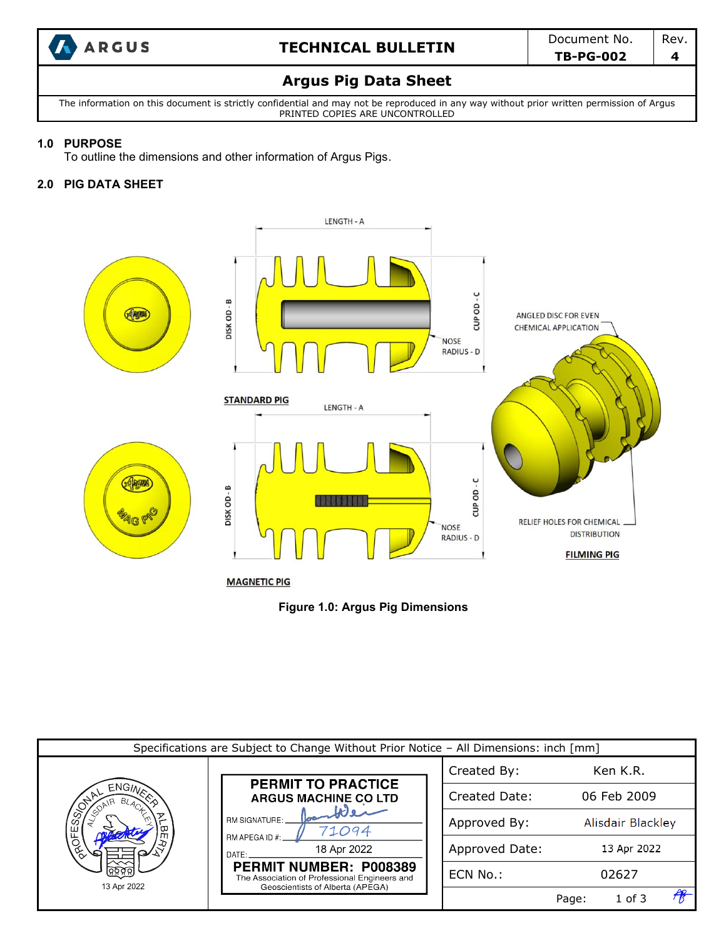

# **ARGUS TECHNICAL BULLETIN** Document No. Rev.

#### **Argus Pig Data Sheet**

The information on this document is strictly confidential and may not be reproduced in any way without prior written permission of Argus PRINTED COPIES ARE UNCONTROLLED

#### **1.0 PURPOSE**

To outline the dimensions and other information of Argus Pigs.

#### **2.0 PIG DATA SHEET**



**Figure 1.0: Argus Pig Dimensions**

| Specifications are Subject to Change Without Prior Notice - All Dimensions: inch [mm] |                                                                                                             |                |                   |  |  |  |  |  |
|---------------------------------------------------------------------------------------|-------------------------------------------------------------------------------------------------------------|----------------|-------------------|--|--|--|--|--|
|                                                                                       |                                                                                                             | Created By:    | Ken K.R.          |  |  |  |  |  |
| SORE<br>ROFE<br>13 Apr 2022                                                           | <b>PERMIT TO PRACTICE</b><br><b>ARGUS MACHINE CO LTD</b>                                                    | Created Date:  | 06 Feb 2009       |  |  |  |  |  |
|                                                                                       | RM SIGNATURE:<br>71094<br>RM APEGA ID #:                                                                    | Approved By:   | Alisdair Blackley |  |  |  |  |  |
|                                                                                       | 18 Apr 2022<br>DATE:                                                                                        | Approved Date: | 13 Apr 2022       |  |  |  |  |  |
|                                                                                       | PERMIT NUMBER: P008389<br>The Association of Professional Engineers and<br>Geoscientists of Alberta (APEGA) | ECN No.:       | 02627             |  |  |  |  |  |
|                                                                                       |                                                                                                             |                | 1 of 3<br>Page:   |  |  |  |  |  |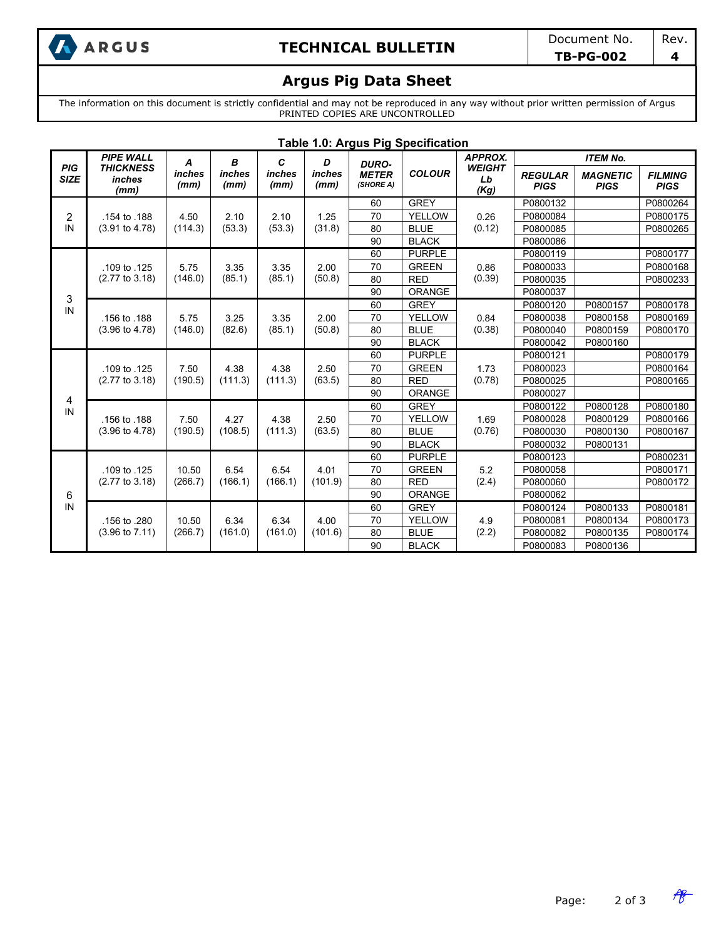

# **A**<br>**ARGUS TECHNICAL BULLETIN** Document No. Rev.

### **Argus Pig Data Sheet**

The information on this document is strictly confidential and may not be reproduced in any way without prior written permission of Argus PRINTED COPIES ARE UNCONTROLLED

| <b>Table 1.0: Argus Pig Specification</b> |                                                        |                     |                     |                     |                     |                                           |               |                             |                               |                                |                               |
|-------------------------------------------|--------------------------------------------------------|---------------------|---------------------|---------------------|---------------------|-------------------------------------------|---------------|-----------------------------|-------------------------------|--------------------------------|-------------------------------|
| <b>PIG</b><br><b>SIZE</b>                 | <b>PIPE WALL</b><br><b>THICKNESS</b><br>inches<br>(mm) | A<br>inches<br>(mm) | В<br>inches<br>(mm) | C<br>inches<br>(mm) | D<br>inches<br>(mm) | <b>DURO-</b><br><b>METER</b><br>(SHORE A) | <b>COLOUR</b> | <b>APPROX.</b>              | <b>ITEM No.</b>               |                                |                               |
|                                           |                                                        |                     |                     |                     |                     |                                           |               | <b>WEIGHT</b><br>Lb<br>(Kg) | <b>REGULAR</b><br><b>PIGS</b> | <b>MAGNETIC</b><br><b>PIGS</b> | <b>FILMING</b><br><b>PIGS</b> |
|                                           |                                                        |                     | 2.10<br>(53.3)      |                     |                     | 60                                        | <b>GREY</b>   |                             | P0800132                      |                                | P0800264                      |
| 2                                         | .154 to .188<br>(3.91 to 4.78)                         | 4.50<br>(114.3)     |                     | 2.10<br>(53.3)      | 1.25<br>(31.8)      | 70                                        | YELLOW        | 0.26<br>(0.12)              | P0800084                      |                                | P0800175                      |
| ${\sf IN}$                                |                                                        |                     |                     |                     |                     | 80                                        | <b>BLUE</b>   |                             | P0800085                      |                                | P0800265                      |
|                                           |                                                        |                     |                     |                     |                     | 90                                        | <b>BLACK</b>  |                             | P0800086                      |                                |                               |
|                                           |                                                        |                     | 3.35<br>(85.1)      | 3.35<br>(85.1)      | 2.00<br>(50.8)      | 60                                        | <b>PURPLE</b> | 0.86                        | P0800119                      |                                | P0800177                      |
|                                           | .109 to .125                                           | 5.75                |                     |                     |                     | 70                                        | <b>GREEN</b>  |                             | P0800033                      |                                | P0800168                      |
|                                           | (2.77 to 3.18)                                         | (146.0)             |                     |                     |                     | 80                                        | <b>RED</b>    | (0.39)                      | P0800035                      |                                | P0800233                      |
| 3                                         |                                                        |                     |                     |                     |                     | 90                                        | <b>ORANGE</b> |                             | P0800037                      |                                |                               |
| IN                                        |                                                        | 5.75<br>(146.0)     | 3.25<br>(82.6)      | 3.35<br>(85.1)      | 2.00<br>(50.8)      | 60                                        | <b>GREY</b>   | 0.84<br>(0.38)              | P0800120                      | P0800157                       | P0800178                      |
|                                           | .156 to .188                                           |                     |                     |                     |                     | 70                                        | <b>YELLOW</b> |                             | P0800038                      | P0800158                       | P0800169                      |
|                                           | $(3.96 \text{ to } 4.78)$                              |                     |                     |                     |                     | 80                                        | <b>BLUE</b>   |                             | P0800040                      | P0800159                       | P0800170                      |
|                                           |                                                        |                     |                     |                     |                     | 90                                        | <b>BLACK</b>  |                             | P0800042                      | P0800160                       |                               |
|                                           | .109 to .125<br>(2.77 to 3.18)                         | 7.50<br>(190.5)     | 4.38<br>(111.3)     | 4.38<br>(111.3)     | 2.50<br>(63.5)      | 60                                        | <b>PURPLE</b> | 1.73<br>(0.78)              | P0800121                      |                                | P0800179                      |
|                                           |                                                        |                     |                     |                     |                     | 70                                        | <b>GREEN</b>  |                             | P0800023                      |                                | P0800164                      |
|                                           |                                                        |                     |                     |                     |                     | 80                                        | <b>RED</b>    |                             | P0800025                      |                                | P0800165                      |
|                                           |                                                        |                     |                     |                     |                     | 90                                        | ORANGE        |                             | P0800027                      |                                |                               |
| 4<br>${\sf IN}$                           | .156 to .188<br>$(3.96 \text{ to } 4.78)$              | 7.50<br>(190.5)     | 4.27<br>(108.5)     | 4.38<br>(111.3)     | 2.50<br>(63.5)      | 60                                        | <b>GREY</b>   | 1.69<br>(0.76)              | P0800122                      | P0800128                       | P0800180                      |
|                                           |                                                        |                     |                     |                     |                     | 70                                        | <b>YELLOW</b> |                             | P0800028                      | P0800129                       | P0800166                      |
|                                           |                                                        |                     |                     |                     |                     | 80                                        | <b>BLUE</b>   |                             | P0800030                      | P0800130                       | P0800167                      |
|                                           |                                                        |                     |                     |                     |                     | 90                                        | <b>BLACK</b>  |                             | P0800032                      | P0800131                       |                               |
|                                           | .109 to .125<br>(2.77 to 3.18)                         | 10.50<br>(266.7)    | 6.54<br>(166.1)     | 6.54<br>(166.1)     | 4.01<br>(101.9)     | 60                                        | <b>PURPLE</b> | 5.2<br>(2.4)                | P0800123                      |                                | P0800231                      |
|                                           |                                                        |                     |                     |                     |                     | 70                                        | <b>GREEN</b>  |                             | P0800058                      |                                | P0800171                      |
| 6<br>${\sf IN}$                           |                                                        |                     |                     |                     |                     | 80                                        | <b>RED</b>    |                             | P0800060                      |                                | P0800172                      |
|                                           |                                                        |                     |                     |                     |                     | 90                                        | <b>ORANGE</b> |                             | P0800062                      |                                |                               |
|                                           | .156 to .280<br>$(3.96 \text{ to } 7.11)$              | 10.50<br>(266.7)    | 6.34<br>(161.0)     | 6.34<br>(161.0)     | 4.00<br>(101.6)     | 60                                        | <b>GREY</b>   |                             | P0800124                      | P0800133                       | P0800181                      |
|                                           |                                                        |                     |                     |                     |                     | 70                                        | <b>YELLOW</b> | 4.9                         | P0800081                      | P0800134                       | P0800173                      |
|                                           |                                                        |                     |                     |                     |                     | 80                                        | <b>BLUE</b>   | (2.2)                       | P0800082                      | P0800135                       | P0800174                      |
|                                           |                                                        |                     |                     |                     |                     | 90                                        | <b>BLACK</b>  |                             | P0800083                      | P0800136                       |                               |